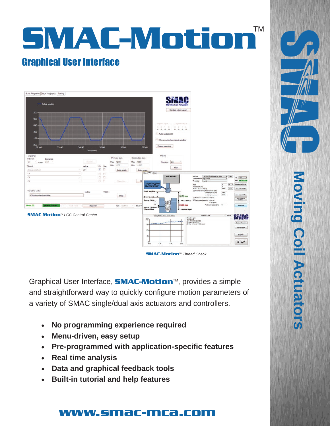



Graphical User Interface, **SMAC-Motion**<sup>™</sup>, provides a simple and straightforward way to quickly configure motion parameters of a variety of SMAC single/dual axis actuators and controllers.

- **No programming experience required**
- **Menu-driven, easy setup**
- **Pre-programmed with application-specific features**
- **Real time analysis**
- **Data and graphical feedback tools**
- **Built-in tutorial and help features**

## www.smac-mca.com